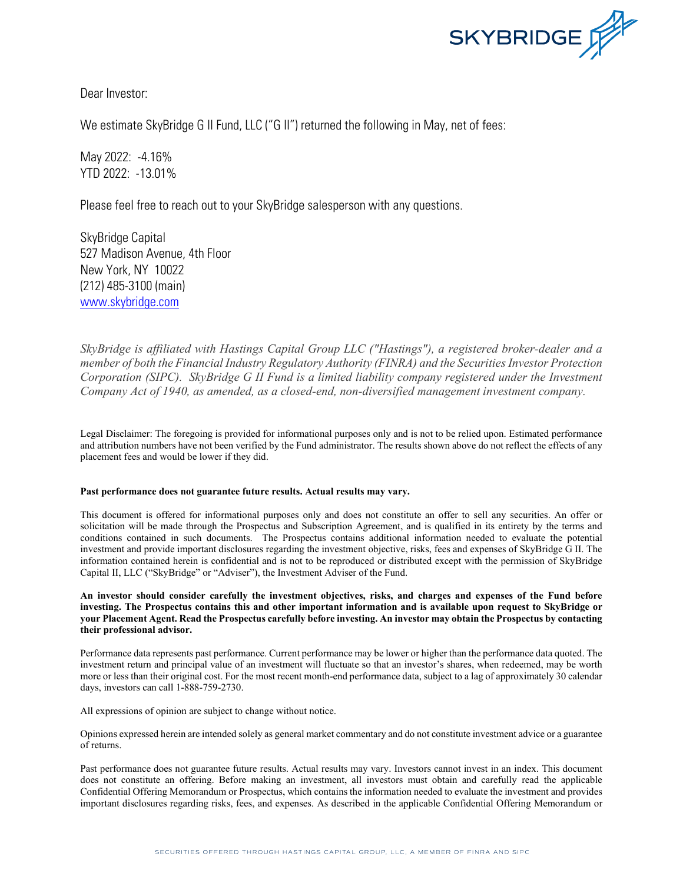

Dear Investor:

We estimate SkyBridge G II Fund, LLC ("G II") returned the following in May, net of fees:

May 2022: -4.16% YTD 2022: -13.01%

Please feel free to reach out to your SkyBridge salesperson with any questions.

SkyBridge Capital 527 Madison Avenue, 4th Floor New York, NY 10022 (212) 485-3100 (main) [www.skybridge.com](http://www.skybridge.com/)

*SkyBridge is affiliated with Hastings Capital Group LLC ("Hastings"), a registered broker-dealer and a member of both the Financial Industry Regulatory Authority (FINRA) and the Securities Investor Protection Corporation (SIPC). SkyBridge G II Fund is a limited liability company registered under the Investment Company Act of 1940, as amended, as a closed-end, non-diversified management investment company.*

Legal Disclaimer: The foregoing is provided for informational purposes only and is not to be relied upon. Estimated performance and attribution numbers have not been verified by the Fund administrator. The results shown above do not reflect the effects of any placement fees and would be lower if they did.

## **Past performance does not guarantee future results. Actual results may vary.**

This document is offered for informational purposes only and does not constitute an offer to sell any securities. An offer or solicitation will be made through the Prospectus and Subscription Agreement, and is qualified in its entirety by the terms and conditions contained in such documents. The Prospectus contains additional information needed to evaluate the potential investment and provide important disclosures regarding the investment objective, risks, fees and expenses of SkyBridge G II. The information contained herein is confidential and is not to be reproduced or distributed except with the permission of SkyBridge Capital II, LLC ("SkyBridge" or "Adviser"), the Investment Adviser of the Fund.

**An investor should consider carefully the investment objectives, risks, and charges and expenses of the Fund before investing. The Prospectus contains this and other important information and is available upon request to SkyBridge or your Placement Agent. Read the Prospectus carefully before investing. An investor may obtain the Prospectus by contacting their professional advisor.**

Performance data represents past performance. Current performance may be lower or higher than the performance data quoted. The investment return and principal value of an investment will fluctuate so that an investor's shares, when redeemed, may be worth more or less than their original cost. For the most recent month-end performance data, subject to a lag of approximately 30 calendar days, investors can call 1-888-759-2730.

All expressions of opinion are subject to change without notice.

Opinions expressed herein are intended solely as general market commentary and do not constitute investment advice or a guarantee of returns.

Past performance does not guarantee future results. Actual results may vary. Investors cannot invest in an index. This document does not constitute an offering. Before making an investment, all investors must obtain and carefully read the applicable Confidential Offering Memorandum or Prospectus, which contains the information needed to evaluate the investment and provides important disclosures regarding risks, fees, and expenses. As described in the applicable Confidential Offering Memorandum or